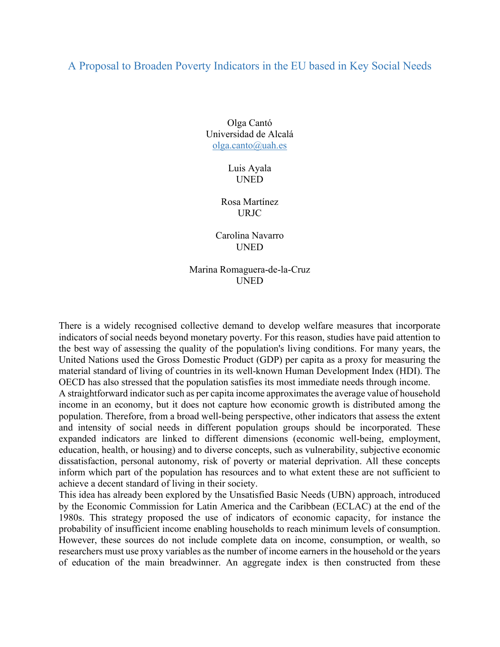## A Proposal to Broaden Poverty Indicators in the EU based in Key Social Needs

Olga Cantó Universidad de Alcalá olga.canto@uah.es

> Luis Ayala UNED

Rosa Martínez URJC

Carolina Navarro UNED

## Marina Romaguera-de-la-Cruz UNED

There is a widely recognised collective demand to develop welfare measures that incorporate indicators of social needs beyond monetary poverty. For this reason, studies have paid attention to the best way of assessing the quality of the population's living conditions. For many years, the United Nations used the Gross Domestic Product (GDP) per capita as a proxy for measuring the material standard of living of countries in its well-known Human Development Index (HDI). The OECD has also stressed that the population satisfies its most immediate needs through income.

A straightforward indicator such as per capita income approximates the average value of household income in an economy, but it does not capture how economic growth is distributed among the population. Therefore, from a broad well-being perspective, other indicators that assess the extent and intensity of social needs in different population groups should be incorporated. These expanded indicators are linked to different dimensions (economic well-being, employment, education, health, or housing) and to diverse concepts, such as vulnerability, subjective economic dissatisfaction, personal autonomy, risk of poverty or material deprivation. All these concepts inform which part of the population has resources and to what extent these are not sufficient to achieve a decent standard of living in their society.

This idea has already been explored by the Unsatisfied Basic Needs (UBN) approach, introduced by the Economic Commission for Latin America and the Caribbean (ECLAC) at the end of the 1980s. This strategy proposed the use of indicators of economic capacity, for instance the probability of insufficient income enabling households to reach minimum levels of consumption. However, these sources do not include complete data on income, consumption, or wealth, so researchers must use proxy variables as the number of income earners in the household or the years of education of the main breadwinner. An aggregate index is then constructed from these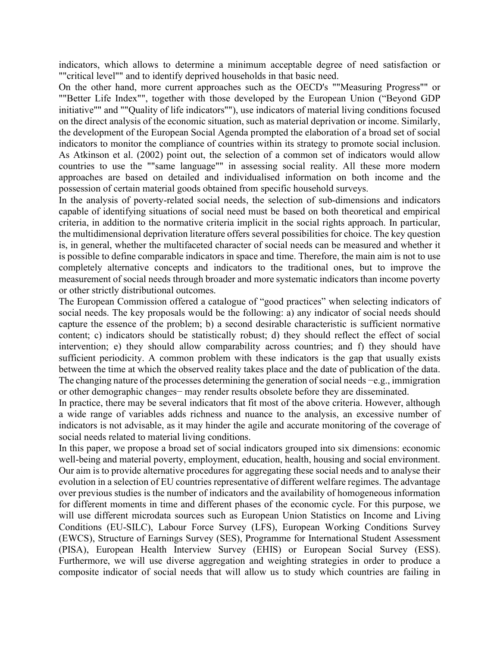indicators, which allows to determine a minimum acceptable degree of need satisfaction or ""critical level"" and to identify deprived households in that basic need.

On the other hand, more current approaches such as the OECD's ""Measuring Progress"" or ""Better Life Index"", together with those developed by the European Union ("Beyond GDP initiative"" and ""Quality of life indicators""), use indicators of material living conditions focused on the direct analysis of the economic situation, such as material deprivation or income. Similarly, the development of the European Social Agenda prompted the elaboration of a broad set of social indicators to monitor the compliance of countries within its strategy to promote social inclusion. As Atkinson et al. (2002) point out, the selection of a common set of indicators would allow countries to use the ""same language"" in assessing social reality. All these more modern approaches are based on detailed and individualised information on both income and the possession of certain material goods obtained from specific household surveys.

In the analysis of poverty-related social needs, the selection of sub-dimensions and indicators capable of identifying situations of social need must be based on both theoretical and empirical criteria, in addition to the normative criteria implicit in the social rights approach. In particular, the multidimensional deprivation literature offers several possibilities for choice. The key question is, in general, whether the multifaceted character of social needs can be measured and whether it is possible to define comparable indicators in space and time. Therefore, the main aim is not to use completely alternative concepts and indicators to the traditional ones, but to improve the measurement of social needs through broader and more systematic indicators than income poverty or other strictly distributional outcomes.

The European Commission offered a catalogue of "good practices" when selecting indicators of social needs. The key proposals would be the following: a) any indicator of social needs should capture the essence of the problem; b) a second desirable characteristic is sufficient normative content; c) indicators should be statistically robust; d) they should reflect the effect of social intervention; e) they should allow comparability across countries; and f) they should have sufficient periodicity. A common problem with these indicators is the gap that usually exists between the time at which the observed reality takes place and the date of publication of the data. The changing nature of the processes determining the generation of social needs −e.g., immigration or other demographic changes− may render results obsolete before they are disseminated.

In practice, there may be several indicators that fit most of the above criteria. However, although a wide range of variables adds richness and nuance to the analysis, an excessive number of indicators is not advisable, as it may hinder the agile and accurate monitoring of the coverage of social needs related to material living conditions.

In this paper, we propose a broad set of social indicators grouped into six dimensions: economic well-being and material poverty, employment, education, health, housing and social environment. Our aim is to provide alternative procedures for aggregating these social needs and to analyse their evolution in a selection of EU countries representative of different welfare regimes. The advantage over previous studies is the number of indicators and the availability of homogeneous information for different moments in time and different phases of the economic cycle. For this purpose, we will use different microdata sources such as European Union Statistics on Income and Living Conditions (EU-SILC), Labour Force Survey (LFS), European Working Conditions Survey (EWCS), Structure of Earnings Survey (SES), Programme for International Student Assessment (PISA), European Health Interview Survey (EHIS) or European Social Survey (ESS). Furthermore, we will use diverse aggregation and weighting strategies in order to produce a composite indicator of social needs that will allow us to study which countries are failing in